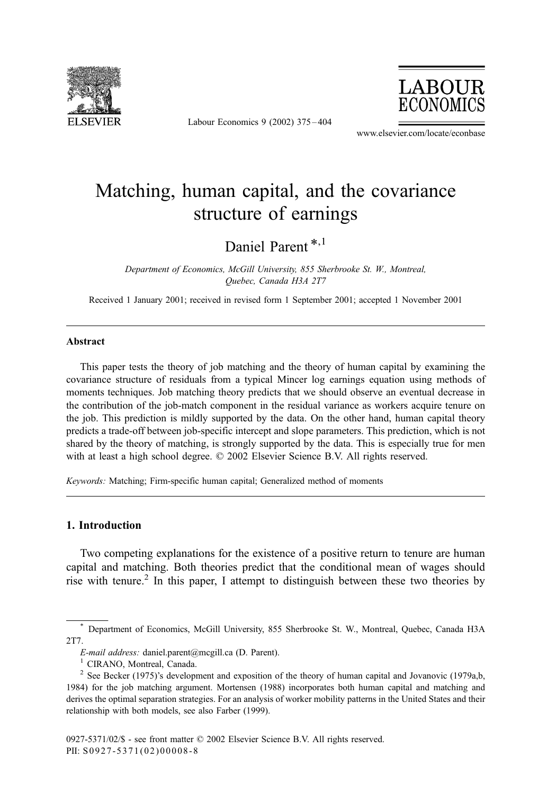

Labour Economics 9 (2002) 375 – 404



www.elsevier.com/locate/econbase

## Matching, human capital, and the covariance structure of earnings

Daniel Parent<sup>\*,1</sup>

Department of Economics, McGill University, 855 Sherbrooke St. W., Montreal, Quebec, Canada H3A 2T7

Received 1 January 2001; received in revised form 1 September 2001; accepted 1 November 2001

## Abstract

This paper tests the theory of job matching and the theory of human capital by examining the covariance structure of residuals from a typical Mincer log earnings equation using methods of moments techniques. Job matching theory predicts that we should observe an eventual decrease in the contribution of the job-match component in the residual variance as workers acquire tenure on the job. This prediction is mildly supported by the data. On the other hand, human capital theory predicts a trade-off between job-specific intercept and slope parameters. This prediction, which is not shared by the theory of matching, is strongly supported by the data. This is especially true for men with at least a high school degree.  $\odot$  2002 Elsevier Science B.V. All rights reserved.

Keywords: Matching; Firm-specific human capital; Generalized method of moments

## 1. Introduction

Two competing explanations for the existence of a positive return to tenure are human capital and matching. Both theories predict that the conditional mean of wages should rise with tenure.<sup>2</sup> In this paper, I attempt to distinguish between these two theories by

<sup>\*</sup> Department of Economics, McGill University, 855 Sherbrooke St. W., Montreal, Quebec, Canada H3A 2T7.

E-mail address: daniel.parent@mcgill.ca (D. Parent). <sup>1</sup> CIRANO, Montreal, Canada.

<sup>&</sup>lt;sup>2</sup> See Becker (1975)'s development and exposition of the theory of human capital and Jovanovic (1979a,b, 1984) for the job matching argument. Mortensen (1988) incorporates both human capital and matching and derives the optimal separation strategies. For an analysis of worker mobility patterns in the United States and their relationship with both models, see also Farber (1999).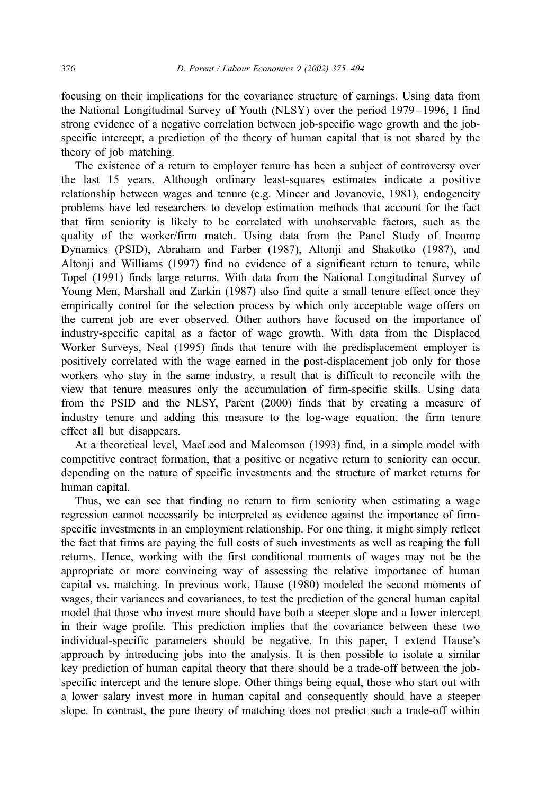focusing on their implications for the covariance structure of earnings. Using data from the National Longitudinal Survey of Youth (NLSY) over the period 1979– 1996, I find strong evidence of a negative correlation between job-specific wage growth and the jobspecific intercept, a prediction of the theory of human capital that is not shared by the theory of job matching.

The existence of a return to employer tenure has been a subject of controversy over the last 15 years. Although ordinary least-squares estimates indicate a positive relationship between wages and tenure (e.g. Mincer and Jovanovic, 1981), endogeneity problems have led researchers to develop estimation methods that account for the fact that firm seniority is likely to be correlated with unobservable factors, such as the quality of the worker/firm match. Using data from the Panel Study of Income Dynamics (PSID), Abraham and Farber (1987), Altonji and Shakotko (1987), and Altonji and Williams (1997) find no evidence of a significant return to tenure, while Topel (1991) finds large returns. With data from the National Longitudinal Survey of Young Men, Marshall and Zarkin (1987) also find quite a small tenure effect once they empirically control for the selection process by which only acceptable wage offers on the current job are ever observed. Other authors have focused on the importance of industry-specific capital as a factor of wage growth. With data from the Displaced Worker Surveys, Neal (1995) finds that tenure with the predisplacement employer is positively correlated with the wage earned in the post-displacement job only for those workers who stay in the same industry, a result that is difficult to reconcile with the view that tenure measures only the accumulation of firm-specific skills. Using data from the PSID and the NLSY, Parent (2000) finds that by creating a measure of industry tenure and adding this measure to the log-wage equation, the firm tenure effect all but disappears.

At a theoretical level, MacLeod and Malcomson (1993) find, in a simple model with competitive contract formation, that a positive or negative return to seniority can occur, depending on the nature of specific investments and the structure of market returns for human capital.

Thus, we can see that finding no return to firm seniority when estimating a wage regression cannot necessarily be interpreted as evidence against the importance of firmspecific investments in an employment relationship. For one thing, it might simply reflect the fact that firms are paying the full costs of such investments as well as reaping the full returns. Hence, working with the first conditional moments of wages may not be the appropriate or more convincing way of assessing the relative importance of human capital vs. matching. In previous work, Hause (1980) modeled the second moments of wages, their variances and covariances, to test the prediction of the general human capital model that those who invest more should have both a steeper slope and a lower intercept in their wage profile. This prediction implies that the covariance between these two individual-specific parameters should be negative. In this paper, I extend Hause's approach by introducing jobs into the analysis. It is then possible to isolate a similar key prediction of human capital theory that there should be a trade-off between the jobspecific intercept and the tenure slope. Other things being equal, those who start out with a lower salary invest more in human capital and consequently should have a steeper slope. In contrast, the pure theory of matching does not predict such a trade-off within